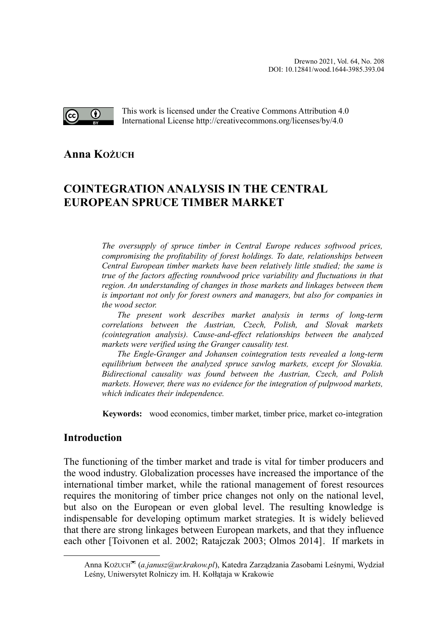

This work is licensed under the Creative Commons Attribution 4.0 International License http://creativecommons.org/licenses/by/4.0

**Anna KOŻUC[H](#page-0-0)**

# **COINTEGRATION ANALYSIS IN THE CENTRAL EUROPEAN SPRUCE TIMBER MARKET**

*The oversupply of spruce timber in Central Europe reduces softwood prices, compromising the profitability of forest holdings. To date, relationships between Central European timber markets have been relatively little studied; the same is true of the factors affecting roundwood price variability and fluctuations in that region. An understanding of changes in those markets and linkages between them is important not only for forest owners and managers, but also for companies in the wood sector.*

*The present work describes market analysis in terms of long-term correlations between the Austrian, Czech, Polish, and Slovak markets (cointegration analysis). Cause-and-effect relationships between the analyzed markets were verified using the Granger causality test.*

*The Engle-Granger and Johansen cointegration tests revealed a long-term equilibrium between the analyzed spruce sawlog markets, except for Slovakia. Bidirectional causality was found between the Austrian, Czech, and Polish markets. However, there was no evidence for the integration of pulpwood markets, which indicates their independence.*

**Keywords:** wood economics, timber market, timber price, market co-integration

# **Introduction**

The functioning of the timber market and trade is vital for timber producers and the wood industry. Globalization processes have increased the importance of the international timber market, while the rational management of forest resources requires the monitoring of timber price changes not only on the national level, but also on the European or even global level. The resulting knowledge is indispensable for developing optimum market strategies. It is widely believed that there are strong linkages between European markets, and that they influence each other [Toivonen et al. 2002; Ratajczak 2003; Olmos 2014]. If markets in

<span id="page-0-0"></span>Anna KOŻUCH (*a.janusz@ur.krakow.pl*), Katedra Zarządzania Zasobami Leśnymi, Wydział Leśny, Uniwersytet Rolniczy im. H. Kołłątaja w Krakowie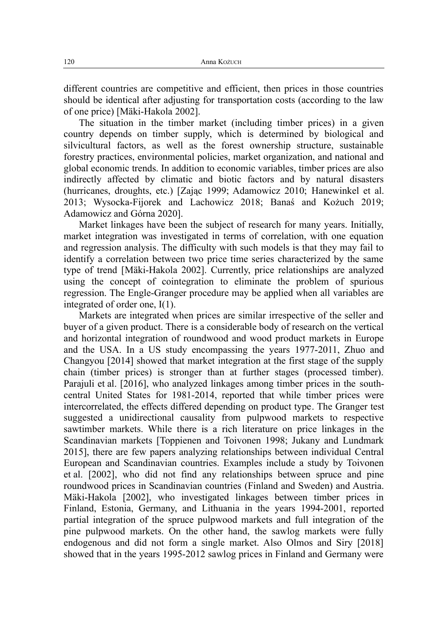different countries are competitive and efficient, then prices in those countries should be identical after adjusting for transportation costs (according to the law of one price) [Mäki-Hakola 2002].

The situation in the timber market (including timber prices) in a given country depends on timber supply, which is determined by biological and silvicultural factors, as well as the forest ownership structure, sustainable forestry practices, environmental policies, market organization, and national and global economic trends. In addition to economic variables, timber prices are also indirectly affected by climatic and biotic factors and by natural disasters (hurricanes, droughts, etc.) [Zając 1999; Adamowicz 2010; Hanewinkel et al. 2013; Wysocka-Fijorek and Lachowicz 2018; Banaś and Kożuch 2019; Adamowicz and Górna 2020].

Market linkages have been the subject of research for many years. Initially, market integration was investigated in terms of correlation, with one equation and regression analysis. The difficulty with such models is that they may fail to identify a correlation between two price time series characterized by the same type of trend [Mäki-Hakola 2002]. Currently, price relationships are analyzed using the concept of cointegration to eliminate the problem of spurious regression. The Engle-Granger procedure may be applied when all variables are integrated of order one, I(1).

Markets are integrated when prices are similar irrespective of the seller and buyer of a given product. There is a considerable body of research on the vertical and horizontal integration of roundwood and wood product markets in Europe and the USA. In a US study encompassing the years 1977-2011, Zhuo and Changyou [2014] showed that market integration at the first stage of the supply chain (timber prices) is stronger than at further stages (processed timber). Parajuli et al. [2016], who analyzed linkages among timber prices in the southcentral United States for 1981-2014, reported that while timber prices were intercorrelated, the effects differed depending on product type. The Granger test suggested a unidirectional causality from pulpwood markets to respective sawtimber markets. While there is a rich literature on price linkages in the Scandinavian markets [Toppienen and Toivonen 1998; Jukany and Lundmark 2015], there are few papers analyzing relationships between individual Central European and Scandinavian countries. Examples include a study by Toivonen et al. [2002], who did not find any relationships between spruce and pine roundwood prices in Scandinavian countries (Finland and Sweden) and Austria. Mäki-Hakola [2002], who investigated linkages between timber prices in Finland, Estonia, Germany, and Lithuania in the years 1994-2001, reported partial integration of the spruce pulpwood markets and full integration of the pine pulpwood markets. On the other hand, the sawlog markets were fully endogenous and did not form a single market. Also Olmos and Siry [2018] showed that in the years 1995-2012 sawlog prices in Finland and Germany were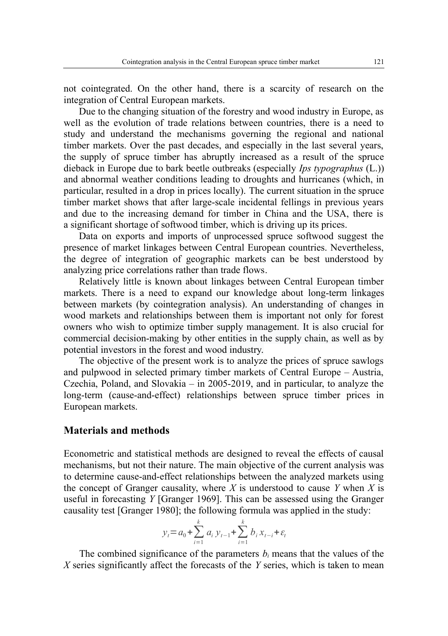not cointegrated. On the other hand, there is a scarcity of research on the integration of Central European markets.

Due to the changing situation of the forestry and wood industry in Europe, as well as the evolution of trade relations between countries, there is a need to study and understand the mechanisms governing the regional and national timber markets. Over the past decades, and especially in the last several years, the supply of spruce timber has abruptly increased as a result of the spruce dieback in Europe due to bark beetle outbreaks (especially *Ips typographus* (L.)) and abnormal weather conditions leading to droughts and hurricanes (which, in particular, resulted in a drop in prices locally). The current situation in the spruce timber market shows that after large-scale incidental fellings in previous years and due to the increasing demand for timber in China and the USA, there is a significant shortage of softwood timber, which is driving up its prices.

Data on exports and imports of unprocessed spruce softwood suggest the presence of market linkages between Central European countries. Nevertheless, the degree of integration of geographic markets can be best understood by analyzing price correlations rather than trade flows.

Relatively little is known about linkages between Central European timber markets. There is a need to expand our knowledge about long-term linkages between markets (by cointegration analysis). An understanding of changes in wood markets and relationships between them is important not only for forest owners who wish to optimize timber supply management. It is also crucial for commercial decision-making by other entities in the supply chain, as well as by potential investors in the forest and wood industry.

The objective of the present work is to analyze the prices of spruce sawlogs and pulpwood in selected primary timber markets of Central Europe – Austria, Czechia, Poland, and Slovakia – in 2005-2019, and in particular, to analyze the long-term (cause-and-effect) relationships between spruce timber prices in European markets.

# **Materials and methods**

Econometric and statistical methods are designed to reveal the effects of causal mechanisms, but not their nature. The main objective of the current analysis was to determine cause-and-effect relationships between the analyzed markets using the concept of Granger causality, where  $\overline{X}$  is understood to cause  $\overline{Y}$  when  $\overline{X}$  is useful in forecasting *Y* [Granger 1969]. This can be assessed using the Granger causality test [Granger 1980]; the following formula was applied in the study:

$$
y_t = a_0 + \sum_{i=1}^k a_i y_{t-1} + \sum_{i=1}^k b_i x_{t-i} + \varepsilon_t
$$

The combined significance of the parameters  $b_i$  means that the values of the *X* series significantly affect the forecasts of the *Y* series, which is taken to mean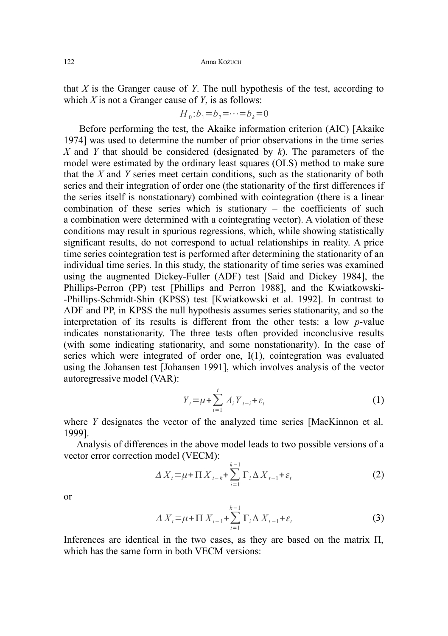that *X* is the Granger cause of *Y*. The null hypothesis of the test, according to which *X* is not a Granger cause of *Y*, is as follows:

$$
H_0:b_1=b_2=\cdots=b_k=0
$$

Before performing the test, the Akaike information criterion (AIC) [Akaike 1974] was used to determine the number of prior observations in the time series *X* and *Y* that should be considered (designated by *k*). The parameters of the model were estimated by the ordinary least squares (OLS) method to make sure that the *X* and *Y* series meet certain conditions, such as the stationarity of both series and their integration of order one (the stationarity of the first differences if the series itself is nonstationary) combined with cointegration (there is a linear combination of these series which is stationary – the coefficients of such a combination were determined with a cointegrating vector). A violation of these conditions may result in spurious regressions, which, while showing statistically significant results, do not correspond to actual relationships in reality. A price time series cointegration test is performed after determining the stationarity of an individual time series. In this study, the stationarity of time series was examined using the augmented Dickey-Fuller (ADF) test [Said and Dickey 1984], the Phillips-Perron (PP) test [Phillips and Perron 1988], and the Kwiatkowski- -Phillips-Schmidt-Shin (KPSS) test [Kwiatkowski et al. 1992]. In contrast to ADF and PP, in KPSS the null hypothesis assumes series stationarity, and so the interpretation of its results is different from the other tests: a low *p*-value indicates nonstationarity. The three tests often provided inconclusive results (with some indicating stationarity, and some nonstationarity). In the case of series which were integrated of order one, I(1), cointegration was evaluated using the Johansen test [Johansen 1991], which involves analysis of the vector autoregressive model (VAR):

$$
Y_{t} = \mu + \sum_{i=1}^{t} A_{i} Y_{t-i} + \varepsilon_{t}
$$
 (1)

where *Y* designates the vector of the analyzed time series [MacKinnon et al. 1999].

Analysis of differences in the above model leads to two possible versions of a vector error correction model (VECM):

$$
\Delta X_t = \mu + \Pi X_{t-k} + \sum_{i=1}^{k-1} \Gamma_i \Delta X_{t-1} + \varepsilon_t
$$
\n(2)

or

$$
\Delta X_{t} = \mu + \Pi X_{t-1} + \sum_{i=1}^{k-1} \Gamma_{i} \Delta X_{t-1} + \varepsilon_{t}
$$
\n(3)

Inferences are identical in the two cases, as they are based on the matrix Π, which has the same form in both VECM versions: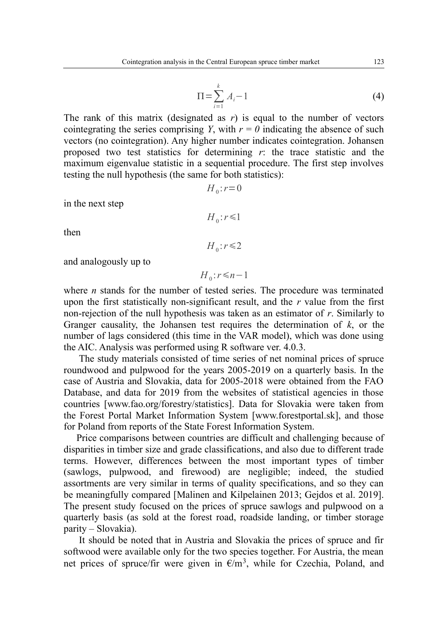$$
\Pi = \sum_{i=1}^{k} A_i - 1 \tag{4}
$$

The rank of this matrix (designated as  $r$ ) is equal to the number of vectors cointegrating the series comprising *Y*, with  $r = 0$  indicating the absence of such vectors (no cointegration). Any higher number indicates cointegration. Johansen proposed two test statistics for determining *r*: the trace statistic and the maximum eigenvalue statistic in a sequential procedure. The first step involves testing the null hypothesis (the same for both statistics):

$$
H_0: r=0
$$

 $H_0: r \leq 1$ 

 $H_0: r \leq 2$ 

in the next step

then

and analogously up to

 $H$ <sub>0</sub>:  $r$ ≤*n*−1

where *n* stands for the number of tested series. The procedure was terminated upon the first statistically non-significant result, and the *r* value from the first non-rejection of the null hypothesis was taken as an estimator of *r*. Similarly to Granger causality, the Johansen test requires the determination of  $k$ , or the number of lags considered (this time in the VAR model), which was done using the AIC. Analysis was performed using R software ver. 4.0.3.

The study materials consisted of time series of net nominal prices of spruce roundwood and pulpwood for the years 2005-2019 on a quarterly basis. In the case of Austria and Slovakia, data for 2005-2018 were obtained from the FAO Database, and data for 2019 from the websites of statistical agencies in those countries [www.fao.org/forestry/statistics]. Data for Slovakia were taken from the Forest Portal Market Information System [www.forestportal.sk], and those for Poland from reports of the State Forest Information System.

Price comparisons between countries are difficult and challenging because of disparities in timber size and grade classifications, and also due to different trade terms. However, differences between the most important types of timber (sawlogs, pulpwood, and firewood) are negligible; indeed, the studied assortments are very similar in terms of quality specifications, and so they can be meaningfully compared [Malinen and Kilpelainen 2013; Gejdos et al. 2019]. The present study focused on the prices of spruce sawlogs and pulpwood on a quarterly basis (as sold at the forest road, roadside landing, or timber storage parity – Slovakia).

It should be noted that in Austria and Slovakia the prices of spruce and fir softwood were available only for the two species together. For Austria, the mean net prices of spruce/fir were given in  $\epsilon/m^3$ , while for Czechia, Poland, and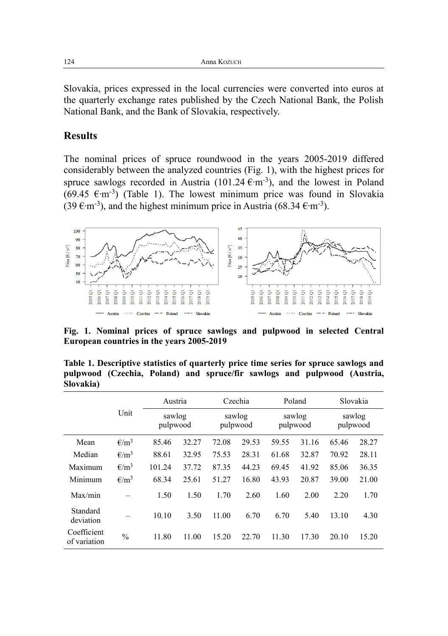Slovakia, prices expressed in the local currencies were converted into euros at the quarterly exchange rates published by the Czech National Bank, the Polish National Bank, and the Bank of Slovakia, respectively.

# **Results**

The nominal prices of spruce roundwood in the years 2005-2019 differed considerably between the analyzed countries (Fig. 1), with the highest prices for spruce sawlogs recorded in Austria (101.24  $\epsilon$ ·m<sup>-3</sup>), and the lowest in Poland  $(69.45 \text{ } \epsilon \cdot \text{m}^{-3})$  (Table 1). The lowest minimum price was found in Slovakia (39  $\text{E·m}^{-3}$ ), and the highest minimum price in Austria (68.34  $\text{E·m}^{-3}$ ).



**Fig. 1. Nominal prices of spruce sawlogs and pulpwood in selected Central European countries in the years 2005-2019**

| <u>siv vania j</u>          |                |                    |       |                    |         |                    |        |                    |          |
|-----------------------------|----------------|--------------------|-------|--------------------|---------|--------------------|--------|--------------------|----------|
|                             |                | Austria            |       |                    | Czechia |                    | Poland |                    | Slovakia |
|                             | Unit           | sawlog<br>pulpwood |       | sawlog<br>pulpwood |         | sawlog<br>pulpwood |        | sawlog<br>pulpwood |          |
| Mean                        | $\epsilon/m^3$ | 85.46              | 32.27 | 72.08              | 29.53   | 59.55              | 31.16  | 65.46              | 28.27    |
| Median                      | $\epsilon/m^3$ | 88.61              | 32.95 | 75.53              | 28.31   | 61.68              | 32.87  | 70.92              | 28.11    |
| Maximum                     | $\epsilon/m^3$ | 101.24             | 37.72 | 87.35              | 44.23   | 69.45              | 41.92  | 85.06              | 36.35    |
| Minimum                     | $\epsilon/m^3$ | 68.34              | 25.61 | 51.27              | 16.80   | 43.93              | 20.87  | 39.00              | 21.00    |
| Max/min                     |                | 1.50               | 1.50  | 1.70               | 2.60    | 1.60               | 2.00   | 2.20               | 1.70     |
| Standard<br>deviation       |                | 10.10              | 3.50  | 11.00              | 6.70    | 6.70               | 5.40   | 13.10              | 4.30     |
| Coefficient<br>of variation | $\frac{0}{0}$  | 11.80              | 11.00 | 15.20              | 22.70   | 11.30              | 17.30  | 20.10              | 15.20    |

**Table 1. Descriptive statistics of quarterly price time series for spruce sawlogs and pulpwood (Czechia, Poland) and spruce/fir sawlogs and pulpwood (Austria, Slovakia)**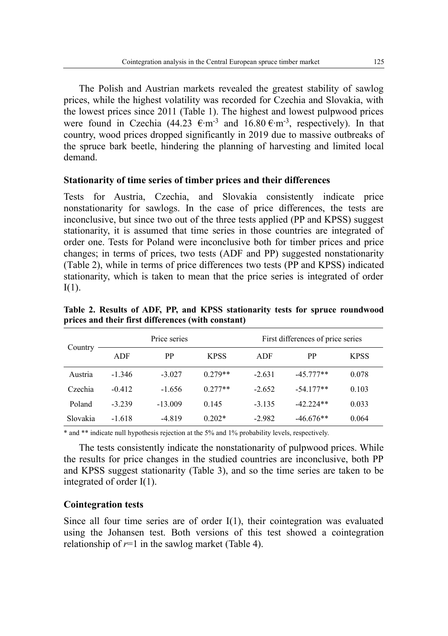The Polish and Austrian markets revealed the greatest stability of sawlog prices, while the highest volatility was recorded for Czechia and Slovakia, with the lowest prices since 2011 (Table 1). The highest and lowest pulpwood prices were found in Czechia (44.23  $\epsilon$ ·m<sup>-3</sup> and 16.80  $\epsilon$ ·m<sup>-3</sup>, respectively). In that country, wood prices dropped significantly in 2019 due to massive outbreaks of the spruce bark beetle, hindering the planning of harvesting and limited local demand.

# **Stationarity of time series of timber prices and their differences**

Tests for Austria, Czechia, and Slovakia consistently indicate price nonstationarity for sawlogs. In the case of price differences, the tests are inconclusive, but since two out of the three tests applied (PP and KPSS) suggest stationarity, it is assumed that time series in those countries are integrated of order one. Tests for Poland were inconclusive both for timber prices and price changes; in terms of prices, two tests (ADF and PP) suggested nonstationarity (Table 2), while in terms of price differences two tests (PP and KPSS) indicated stationarity, which is taken to mean that the price series is integrated of order  $I(1)$ .

| Country  |          | Price series |             | First differences of price series |             |             |  |
|----------|----------|--------------|-------------|-----------------------------------|-------------|-------------|--|
|          | ADF      | PP           | <b>KPSS</b> | ADF                               | PP          | <b>KPSS</b> |  |
| Austria  | $-1.346$ | $-3.027$     | $0.279**$   | $-2.631$                          | $-45.777**$ | 0.078       |  |
| Czechia  | $-0.412$ | $-1.656$     | $0.277**$   | $-2.652$                          | $-54.177**$ | 0.103       |  |
| Poland   | $-3.239$ | $-13.009$    | 0.145       | $-3.135$                          | $-42.224**$ | 0.033       |  |
| Slovakia | $-1.618$ | $-4.819$     | $0.202*$    | $-2.982$                          | $-46.676**$ | 0.064       |  |

**Table 2. Results of ADF, PP, and KPSS stationarity tests for spruce roundwood prices and their first differences (with constant)**

\* and \*\* indicate null hypothesis rejection at the 5% and 1% probability levels, respectively.

The tests consistently indicate the nonstationarity of pulpwood prices. While the results for price changes in the studied countries are inconclusive, both PP and KPSS suggest stationarity (Table 3), and so the time series are taken to be integrated of order I(1).

# **Cointegration tests**

Since all four time series are of order I(1), their cointegration was evaluated using the Johansen test. Both versions of this test showed a cointegration relationship of  $r=1$  in the sawlog market (Table 4).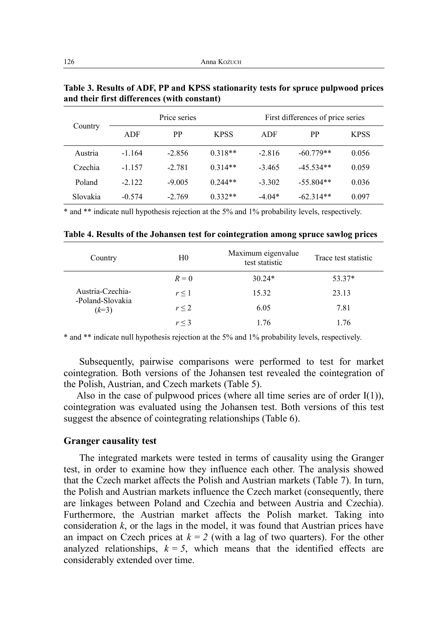| Country  |          | Price series |             |          | First differences of price series |             |  |  |
|----------|----------|--------------|-------------|----------|-----------------------------------|-------------|--|--|
|          | ADF      | PP           | <b>KPSS</b> | ADF      | РP                                | <b>KPSS</b> |  |  |
| Austria  | $-1.164$ | $-2.856$     | $0.318**$   | $-2.816$ | $-60.779**$                       | 0.056       |  |  |
| Czechia  | $-1157$  | $-2.781$     | $0.314**$   | $-3.465$ | $-45.534**$                       | 0.059       |  |  |
| Poland   | $-2.122$ | $-9.005$     | $0.244**$   | $-3.302$ | $-55.804**$                       | 0.036       |  |  |
| Slovakia | $-0.574$ | $-2.769$     | $0.332**$   | $-4.04*$ | $-62.314**$                       | 0.097       |  |  |

**Table 3. Results of ADF, PP and KPSS stationarity tests for spruce pulpwood prices and their first differences (with constant)** 

\* and \*\* indicate null hypothesis rejection at the 5% and 1% probability levels, respectively.

| Country                     | H <sub>0</sub> | Maximum eigenvalue<br>test statistic | Trace test statistic |
|-----------------------------|----------------|--------------------------------------|----------------------|
|                             | $R=0$          | $30.24*$                             | 53.37*               |
| Austria-Czechia-            | $r \leq 1$     | 15.32                                | 23.13                |
| -Poland-Slovakia<br>$(k=3)$ | r < 2          | 6.05                                 | 7.81                 |
|                             | r < 3          | 1 76                                 | 1 76                 |

**Table 4. Results of the Johansen test for cointegration among spruce sawlog prices**

\* and \*\* indicate null hypothesis rejection at the 5% and 1% probability levels, respectively.

Subsequently, pairwise comparisons were performed to test for market cointegration. Both versions of the Johansen test revealed the cointegration of the Polish, Austrian, and Czech markets (Table 5).

Also in the case of pulpwood prices (where all time series are of order  $I(1)$ ), cointegration was evaluated using the Johansen test. Both versions of this test suggest the absence of cointegrating relationships (Table 6).

#### **Granger causality test**

The integrated markets were tested in terms of causality using the Granger test, in order to examine how they influence each other. The analysis showed that the Czech market affects the Polish and Austrian markets (Table 7). In turn, the Polish and Austrian markets influence the Czech market (consequently, there are linkages between Poland and Czechia and between Austria and Czechia). Furthermore, the Austrian market affects the Polish market. Taking into consideration  $k$ , or the lags in the model, it was found that Austrian prices have an impact on Czech prices at  $k = 2$  (with a lag of two quarters). For the other analyzed relationships,  $k = 5$ , which means that the identified effects are considerably extended over time.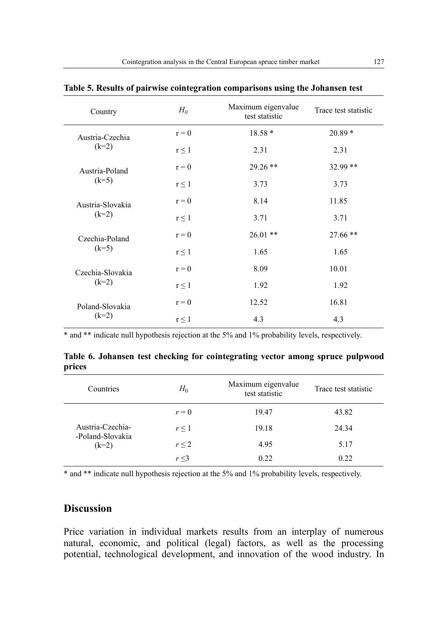| Country          | $H_0$      | Maximum eigenvalue<br>test statistic | Trace test statistic |
|------------------|------------|--------------------------------------|----------------------|
| Austria-Czechia  | $r = 0$    | 18.58 *                              | $20.89*$             |
| $(k=2)$          | $r \leq 1$ | 2.31                                 | 2.31                 |
| Austria-Poland   | $r = 0$    | $29.26$ **                           | 32.99 **             |
| $(k=5)$          | $r \leq 1$ | 3.73                                 | 3.73                 |
| Austria-Slovakia | $r = 0$    | 8.14                                 | 11.85                |
| $(k=2)$          | $r \leq 1$ | 3.71                                 | 3.71                 |
| Czechia-Poland   | $r = 0$    | $26.01$ **                           | $27.66**$            |
| $(k=5)$          | $r \leq 1$ | 1.65                                 | 1.65                 |
| Czechia-Slovakia | $r = 0$    | 8.09                                 | 10.01                |
| $(k=2)$          | $r \leq 1$ | 1.92                                 | 1.92                 |
| Poland-Slovakia  | $r = 0$    | 12.52                                | 16.81                |
| $(k=2)$          | $r \leq 1$ | 4.3                                  | 4.3                  |

**Table 5. Results of pairwise cointegration comparisons using the Johansen test** 

\* and \*\* indicate null hypothesis rejection at the 5% and 1% probability levels, respectively.

|        |  |  | Table 6. Johansen test checking for cointegrating vector among spruce pulpwood |  |  |
|--------|--|--|--------------------------------------------------------------------------------|--|--|
| prices |  |  |                                                                                |  |  |

| Countries                   | $H_0$      | Maximum eigenvalue<br>test statistic | Trace test statistic |
|-----------------------------|------------|--------------------------------------|----------------------|
|                             | $r=0$      | 19.47                                | 43.82                |
| Austria-Czechia-            | $r \leq 1$ | 19.18                                | 24.34                |
| -Poland-Slovakia<br>$(k=2)$ | $r \leq 2$ | 4.95                                 | 5.17                 |
|                             | r < 3      | 0.22                                 | 0.22                 |

\* and \*\* indicate null hypothesis rejection at the 5% and 1% probability levels, respectively.

# **Discussion**

Price variation in individual markets results from an interplay of numerous natural, economic, and political (legal) factors, as well as the processing potential, technological development, and innovation of the wood industry. In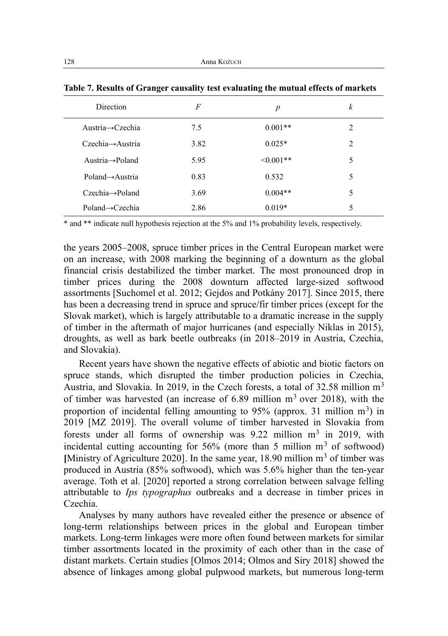| <b>Direction</b>                 | F    | $\boldsymbol{p}$ | k              |
|----------------------------------|------|------------------|----------------|
| Austria $\rightarrow$ Czechia    | 7.5  | $0.001**$        | $\mathfrak{D}$ |
| $C$ zechia $\rightarrow$ Austria | 3.82 | $0.025*$         | $\mathfrak{D}$ |
| Austria $\rightarrow$ Poland     | 5.95 | $\leq 0.001**$   | 5              |
| $Poland \rightarrow$ Austria     | 0.83 | 0.532            | 5              |
| $Czechia \rightarrow$ Poland     | 3.69 | $0.004**$        | 5              |
| $Poland \rightarrow Czechia$     | 2.86 | $0.019*$         | 5              |

|  |  |  | Table 7. Results of Granger causality test evaluating the mutual effects of markets |  |
|--|--|--|-------------------------------------------------------------------------------------|--|
|  |  |  |                                                                                     |  |

\* and \*\* indicate null hypothesis rejection at the 5% and 1% probability levels, respectively.

the years 2005–2008, spruce timber prices in the Central European market were on an increase, with 2008 marking the beginning of a downturn as the global financial crisis destabilized the timber market. The most pronounced drop in timber prices during the 2008 downturn affected large-sized softwood assortments [Suchomel et al. 2012; Gejdos and Potkány 2017]. Since 2015, there has been a decreasing trend in spruce and spruce/fir timber prices (except for the Slovak market), which is largely attributable to a dramatic increase in the supply of timber in the aftermath of major hurricanes (and especially Niklas in 2015), droughts, as well as bark beetle outbreaks (in 2018–2019 in Austria, Czechia, and Slovakia).

Recent years have shown the negative effects of abiotic and biotic factors on spruce stands, which disrupted the timber production policies in Czechia, Austria, and Slovakia. In 2019, in the Czech forests, a total of 32.58 million m<sup>3</sup> of timber was harvested (an increase of  $6.89$  million m<sup>3</sup> over 2018), with the proportion of incidental felling amounting to 95% (approx. 31 million  $m<sup>3</sup>$ ) in 2019 [MZ 2019]. The overall volume of timber harvested in Slovakia from forests under all forms of ownership was  $9.22$  million m<sup>3</sup> in 2019, with incidental cutting accounting for  $56\%$  (more than 5 million  $m<sup>3</sup>$  of softwood) [Ministry of Agriculture 2020]. In the same year, 18.90 million m<sup>3</sup> of timber was produced in Austria (85% softwood), which was 5.6% higher than the ten-year average. Toth et al. [2020] reported a strong correlation between salvage felling attributable to *Ips typographus* outbreaks and a decrease in timber prices in Czechia.

Analyses by many authors have revealed either the presence or absence of long-term relationships between prices in the global and European timber markets. Long-term linkages were more often found between markets for similar timber assortments located in the proximity of each other than in the case of distant markets. Certain studies [Olmos 2014; Olmos and Siry 2018] showed the absence of linkages among global pulpwood markets, but numerous long-term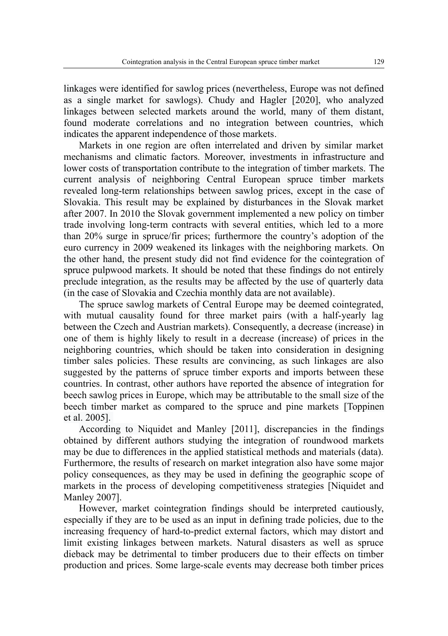linkages were identified for sawlog prices (nevertheless, Europe was not defined as a single market for sawlogs). Chudy and Hagler [2020], who analyzed linkages between selected markets around the world, many of them distant, found moderate correlations and no integration between countries, which indicates the apparent independence of those markets.

Markets in one region are often interrelated and driven by similar market mechanisms and climatic factors. Moreover, investments in infrastructure and lower costs of transportation contribute to the integration of timber markets. The current analysis of neighboring Central European spruce timber markets revealed long-term relationships between sawlog prices, except in the case of Slovakia. This result may be explained by disturbances in the Slovak market after 2007. In 2010 the Slovak government implemented a new policy on timber trade involving long-term contracts with several entities, which led to a more than 20% surge in spruce/fir prices; furthermore the country's adoption of the euro currency in 2009 weakened its linkages with the neighboring markets. On the other hand, the present study did not find evidence for the cointegration of spruce pulpwood markets. It should be noted that these findings do not entirely preclude integration, as the results may be affected by the use of quarterly data (in the case of Slovakia and Czechia monthly data are not available).

The spruce sawlog markets of Central Europe may be deemed cointegrated, with mutual causality found for three market pairs (with a half-yearly lag between the Czech and Austrian markets). Consequently, a decrease (increase) in one of them is highly likely to result in a decrease (increase) of prices in the neighboring countries, which should be taken into consideration in designing timber sales policies. These results are convincing, as such linkages are also suggested by the patterns of spruce timber exports and imports between these countries. In contrast, other authors have reported the absence of integration for beech sawlog prices in Europe, which may be attributable to the small size of the beech timber market as compared to the spruce and pine markets [Toppinen et al. 2005].

According to Niquidet and Manley [2011], discrepancies in the findings obtained by different authors studying the integration of roundwood markets may be due to differences in the applied statistical methods and materials (data). Furthermore, the results of research on market integration also have some major policy consequences, as they may be used in defining the geographic scope of markets in the process of developing competitiveness strategies [Niquidet and Manley 2007].

However, market cointegration findings should be interpreted cautiously, especially if they are to be used as an input in defining trade policies, due to the increasing frequency of hard-to-predict external factors, which may distort and limit existing linkages between markets. Natural disasters as well as spruce dieback may be detrimental to timber producers due to their effects on timber production and prices. Some large-scale events may decrease both timber prices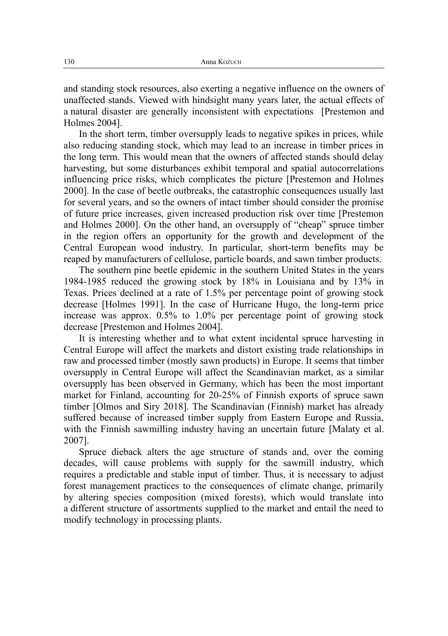and standing stock resources, also exerting a negative influence on the owners of unaffected stands. Viewed with hindsight many years later, the actual effects of a natural disaster are generally inconsistent with expectations [Prestemon and Holmes 2004].

In the short term, timber oversupply leads to negative spikes in prices, while also reducing standing stock, which may lead to an increase in timber prices in the long term. This would mean that the owners of affected stands should delay harvesting, but some disturbances exhibit temporal and spatial autocorrelations influencing price risks, which complicates the picture [Prestemon and Holmes 2000]. In the case of beetle outbreaks, the catastrophic consequences usually last for several years, and so the owners of intact timber should consider the promise of future price increases, given increased production risk over time [Prestemon and Holmes 2000]. On the other hand, an oversupply of "cheap" spruce timber in the region offers an opportunity for the growth and development of the Central European wood industry. In particular, short-term benefits may be reaped by manufacturers of cellulose, particle boards, and sawn timber products.

The southern pine beetle epidemic in the southern United States in the years 1984-1985 reduced the growing stock by 18% in Louisiana and by 13% in Texas. Prices declined at a rate of 1.5% per percentage point of growing stock decrease [Holmes 1991]. In the case of Hurricane Hugo, the long-term price increase was approx. 0.5% to 1.0% per percentage point of growing stock decrease [Prestemon and Holmes 2004].

It is interesting whether and to what extent incidental spruce harvesting in Central Europe will affect the markets and distort existing trade relationships in raw and processed timber (mostly sawn products) in Europe. It seems that timber oversupply in Central Europe will affect the Scandinavian market, as a similar oversupply has been observed in Germany, which has been the most important market for Finland, accounting for 20-25% of Finnish exports of spruce sawn timber [Olmos and Siry 2018]. The Scandinavian (Finnish) market has already suffered because of increased timber supply from Eastern Europe and Russia, with the Finnish sawmilling industry having an uncertain future [Malaty et al. 2007].

Spruce dieback alters the age structure of stands and, over the coming decades, will cause problems with supply for the sawmill industry, which requires a predictable and stable input of timber. Thus, it is necessary to adjust forest management practices to the consequences of climate change, primarily by altering species composition (mixed forests), which would translate into a different structure of assortments supplied to the market and entail the need to modify technology in processing plants.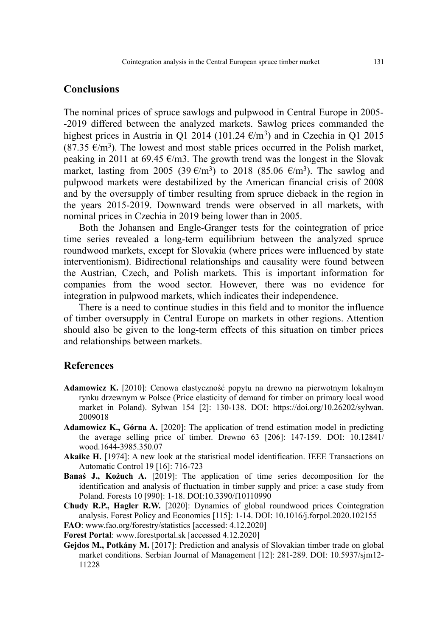# **Conclusions**

The nominal prices of spruce sawlogs and pulpwood in Central Europe in 2005- -2019 differed between the analyzed markets. Sawlog prices commanded the highest prices in Austria in Q1 2014 (101.24  $\epsilon/m^3$ ) and in Czechia in Q1 2015 (87.35  $\epsilon/m^3$ ). The lowest and most stable prices occurred in the Polish market, peaking in 2011 at 69.45  $\epsilon$ /m3. The growth trend was the longest in the Slovak market, lasting from 2005 (39 $\epsilon/m^3$ ) to 2018 (85.06  $\epsilon/m^3$ ). The sawlog and pulpwood markets were destabilized by the American financial crisis of 2008 and by the oversupply of timber resulting from spruce dieback in the region in the years 2015-2019. Downward trends were observed in all markets, with nominal prices in Czechia in 2019 being lower than in 2005.

Both the Johansen and Engle-Granger tests for the cointegration of price time series revealed a long-term equilibrium between the analyzed spruce roundwood markets, except for Slovakia (where prices were influenced by state interventionism). Bidirectional relationships and causality were found between the Austrian, Czech, and Polish markets. This is important information for companies from the wood sector. However, there was no evidence for integration in pulpwood markets, which indicates their independence.

There is a need to continue studies in this field and to monitor the influence of timber oversupply in Central Europe on markets in other regions. Attention should also be given to the long-term effects of this situation on timber prices and relationships between markets.

# **References**

- **Adamowicz K.** [2010]: Cenowa elastyczność popytu na drewno na pierwotnym lokalnym rynku drzewnym w Polsce (Price elasticity of demand for timber on primary local wood market in Poland). Sylwan 154 [2]: 130-138. DOI: https://doi.org/10.26202/sylwan. 2009018
- **Adamowicz K., Górna A.** [2020]: The application of trend estimation model in predicting the average selling price of timber. Drewno 63 [206]: 147-159. DOI: 10.12841/ wood.1644-3985.350.07
- **Akaike H.** [1974]: A new look at the statistical model identification. IEEE Transactions on Automatic Control 19 [16]: 716-723
- **Banaś J., Kożuch A.** [2019]: The application of time series decomposition for the identification and analysis of fluctuation in timber supply and price: a case study from Poland. Forests 10 [990]: 1-18. DOI:10.3390/f10110990
- **Chudy R.P., Hagler R.W.** [2020]: Dynamics of global roundwood prices Cointegration analysis. Forest Policy and Economics [115]: 1-14. DOI: 10.1016/j.forpol.2020.102155

**FAO**: www.fao.org/forestry/statistics [accessed: 4.12.2020]

**Forest Portal**: www.forestportal.sk [accessed 4.12.2020]

**Gejdos M., Potkány M.** [2017]: Prediction and analysis of Slovakian timber trade on global market conditions. Serbian Journal of Management [12]: 281-289. DOI: 10.5937/sjm12- 11228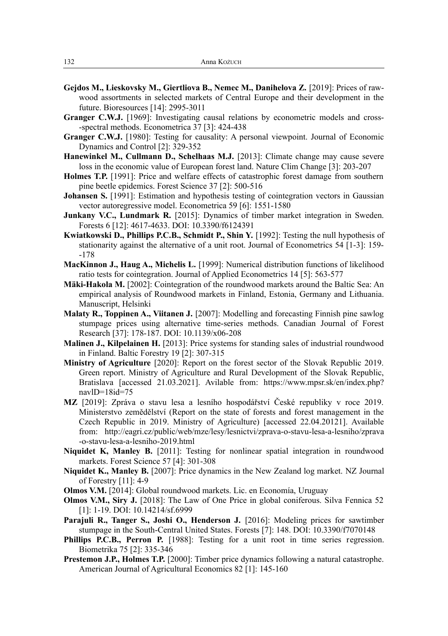- **Gejdos M., Lieskovsky M., Giertliova B., Nemec M., Danihelova Z.** [2019]: Prices of rawwood assortments in selected markets of Central Europe and their development in the future. Bioresources [14]: 2995-3011
- **Granger C.W.J.** [1969]: Investigating causal relations by econometric models and cross--spectral methods. Econometrica 37 [3]: 424-438
- **Granger C.W.J.** [1980]: Testing for causality: A personal viewpoint. Journal of Economic Dynamics and Control [2]: 329-352
- **Hanewinkel M., Cullmann D., Schelhaas M.J.** [2013]: Climate change may cause severe loss in the economic value of European forest land. Nature Clim Change [3]: 203-207
- **Holmes T.P.** [1991]: Price and welfare effects of catastrophic forest damage from southern pine beetle epidemics. Forest Science 37 [2]: 500-516
- Johansen S. [1991]: Estimation and hypothesis testing of cointegration vectors in Gaussian vector autoregressive model. Econometrica 59 [6]: 1551-1580
- **Junkany V.C., Lundmark R.** [2015]: Dynamics of timber market integration in Sweden. Forests 6 [12]: 4617-4633. DOI: 10.3390/f6124391
- **Kwiatkowski D., Phillips P.C.B., Schmidt P., Shin Y.** [1992]: Testing the null hypothesis of stationarity against the alternative of a unit root. Journal of Econometrics 54 [1-3]: 159- -178
- **MacKinnon J., Haug A., Michelis L.** [1999]: Numerical distribution functions of likelihood ratio tests for cointegration. Journal of Applied Econometrics 14 [5]: 563-577
- **Mäki-Hakola M.** [2002]: Cointegration of the roundwood markets around the Baltic Sea: An empirical analysis of Roundwood markets in Finland, Estonia, Germany and Lithuania. Manuscript, Helsinki
- **Malaty R., Toppinen A., Viitanen J.** [2007]: Modelling and forecasting Finnish pine sawlog stumpage prices using alternative time-series methods. Canadian Journal of Forest Research [37]: 178-187. DOI: 10.1139/x06-208
- **Malinen J., Kilpelainen H.** [2013]: Price systems for standing sales of industrial roundwood in Finland. Baltic Forestry 19 [2]: 307-315
- **Ministry of Agriculture** [2020]: Report on the forest sector of the Slovak Republic 2019. Green report. Ministry of Agriculture and Rural Development of the Slovak Republic, Bratislava [accessed 21.03.2021]. Avilable from: https://www.mpsr.sk/en/index.php? navlD=18id=75
- **MZ** [2019]: Zpráva o stavu lesa a lesního hospodářství České republiky v roce 2019. Ministerstvo zemědělství (Report on the state of forests and forest management in the Czech Republic in 2019. Ministry of Agriculture) [accessed 22.04.20121]. Available from: http://eagri.cz/public/web/mze/lesy/lesnictvi/zprava-o-stavu-lesa-a-lesniho/zprava -o-stavu-lesa-a-lesniho-2019.html
- **Niquidet K, Manley B.** [2011]: Testing for nonlinear spatial integration in roundwood markets. Forest Science 57 [4]: 301-308
- **Niquidet K., Manley B.** [2007]: Price dynamics in the New Zealand log market. NZ Journal of Forestry [11]: 4-9
- **Olmos V.M.** [2014]: Global roundwood markets. Lic. en Economía, Uruguay
- **Olmos V.M., Siry J.** [2018]: The Law of One Price in global coniferous. Silva Fennica 52 [1]: 1-19. DOI: 10.14214/sf.6999
- **Parajuli R., Tanger S., Joshi O., Henderson J.** [2016]: Modeling prices for sawtimber stumpage in the South-Central United States. Forests [7]: 148. DOI: 10.3390/f7070148
- **Phillips P.C.B., Perron P.** [1988]: Testing for a unit root in time series regression. Biometrika 75 [2]: 335-346
- **Prestemon J.P., Holmes T.P.** [2000]: Timber price dynamics following a natural catastrophe. American Journal of Agricultural Economics 82 [1]: 145-160